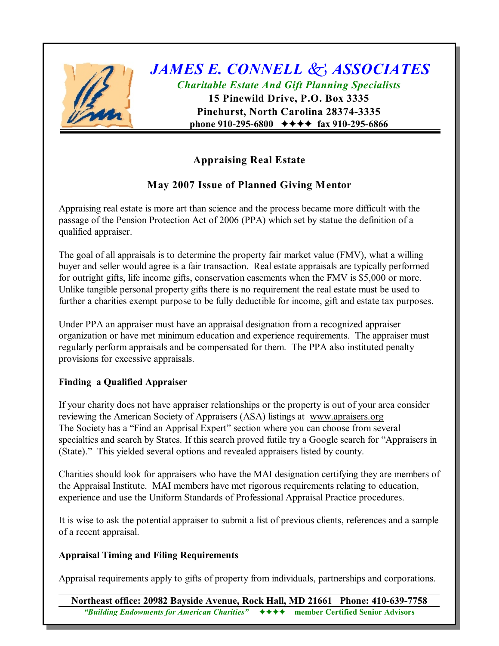

# *JAMES E. CONNELL k ASSOCIATES Charitable Estate And Gift Planning Specialists*

**15 Pinewild Drive, P.O. Box 3335 Pinehurst, North Carolina 28374-3335 phone 910-295-6800**  $\leftrightarrow \leftrightarrow \leftrightarrow$  fax 910-295-6866

## **Appraising Real Estate**

## **May 2007 Issue of Planned Giving Mentor**

Appraising real estate is more art than science and the process became more difficult with the passage of the Pension Protection Act of 2006 (PPA) which set by statue the definition of a qualified appraiser.

The goal of all appraisals is to determine the property fair market value (FMV), what a willing buyer and seller would agree is a fair transaction. Real estate appraisals are typically performed for outright gifts, life income gifts, conservation easements when the FMV is \$5,000 or more. Unlike tangible personal property gifts there is no requirement the real estate must be used to further a charities exempt purpose to be fully deductible for income, gift and estate tax purposes.

Under PPA an appraiser must have an appraisal designation from a recognized appraiser organization or have met minimum education and experience requirements. The appraiser must regularly perform appraisals and be compensated for them. The PPA also instituted penalty provisions for excessive appraisals.

### **Finding a Qualified Appraiser**

If your charity does not have appraiser relationships or the property is out of your area consider reviewing the American Society of Appraisers (ASA) listings at [www.apraisers.org](http://www.apraisers.org.) The Society has a "Find an Apprisal Expert" section where you can choose from several specialties and search by States. If this search proved futile try a Google search for "Appraisers in (State)." This yielded several options and revealed appraisers listed by county.

Charities should look for appraisers who have the MAI designation certifying they are members of the Appraisal Institute. MAI members have met rigorous requirements relating to education, experience and use the Uniform Standards of Professional Appraisal Practice procedures.

It is wise to ask the potential appraiser to submit a list of previous clients, references and a sample of a recent appraisal.

### **Appraisal Timing and Filing Requirements**

Appraisal requirements apply to gifts of property from individuals, partnerships and corporations.

**Northeast office: 20982 Bayside Avenue, Rock Hall, MD 21661 Phone: 410-639-7758** *"Building Endowments for American Charities"*gggg **member Certified Senior Advisors**